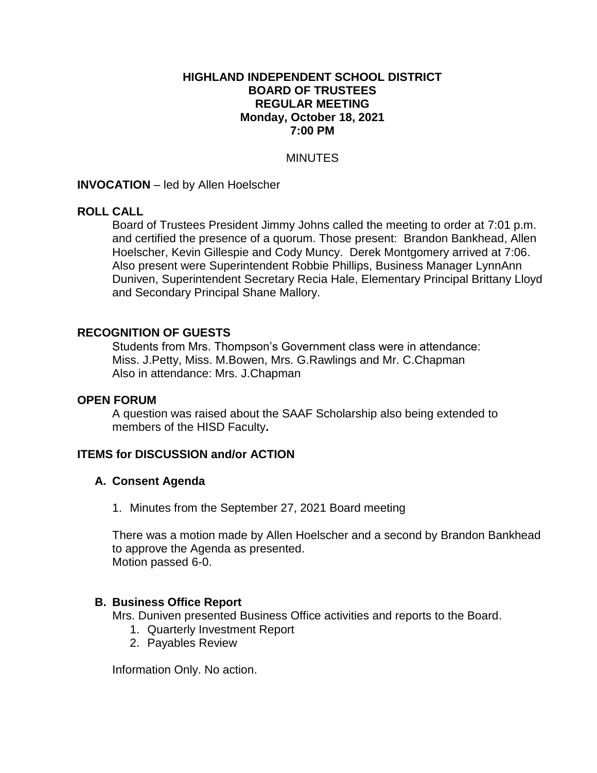#### **HIGHLAND INDEPENDENT SCHOOL DISTRICT BOARD OF TRUSTEES REGULAR MEETING Monday, October 18, 2021 7:00 PM**

#### **MINUTES**

**INVOCATION** – led by Allen Hoelscher

## **ROLL CALL**

Board of Trustees President Jimmy Johns called the meeting to order at 7:01 p.m. and certified the presence of a quorum. Those present: Brandon Bankhead, Allen Hoelscher, Kevin Gillespie and Cody Muncy. Derek Montgomery arrived at 7:06. Also present were Superintendent Robbie Phillips, Business Manager LynnAnn Duniven, Superintendent Secretary Recia Hale, Elementary Principal Brittany Lloyd and Secondary Principal Shane Mallory.

#### **RECOGNITION OF GUESTS**

Students from Mrs. Thompson's Government class were in attendance: Miss. J.Petty, Miss. M.Bowen, Mrs. G.Rawlings and Mr. C.Chapman Also in attendance: Mrs. J.Chapman

#### **OPEN FORUM**

A question was raised about the SAAF Scholarship also being extended to members of the HISD Faculty**.**

#### **ITEMS for DISCUSSION and/or ACTION**

#### **A. Consent Agenda**

1. Minutes from the September 27, 2021 Board meeting

There was a motion made by Allen Hoelscher and a second by Brandon Bankhead to approve the Agenda as presented. Motion passed 6-0.

#### **B. Business Office Report**

Mrs. Duniven presented Business Office activities and reports to the Board.

- 1. Quarterly Investment Report
- 2. Payables Review

Information Only. No action.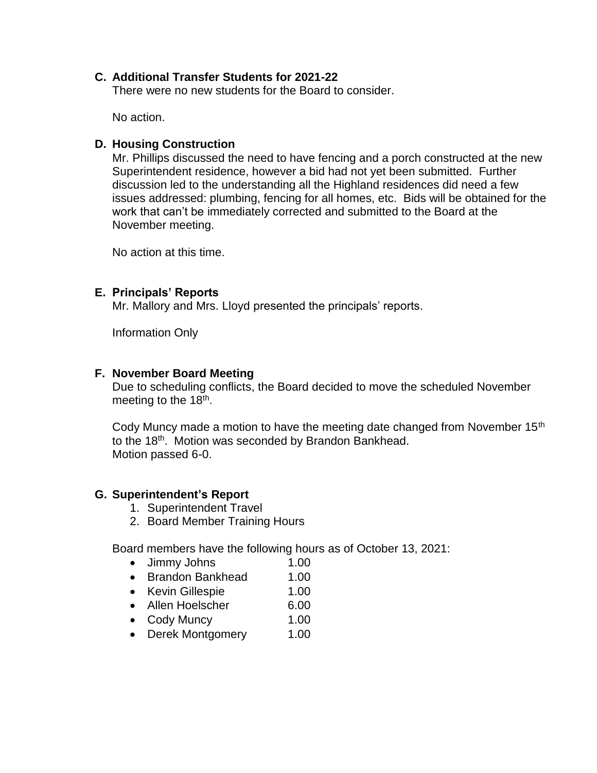## **C. Additional Transfer Students for 2021-22**

There were no new students for the Board to consider.

No action.

## **D. Housing Construction**

Mr. Phillips discussed the need to have fencing and a porch constructed at the new Superintendent residence, however a bid had not yet been submitted. Further discussion led to the understanding all the Highland residences did need a few issues addressed: plumbing, fencing for all homes, etc. Bids will be obtained for the work that can't be immediately corrected and submitted to the Board at the November meeting.

No action at this time.

## **E. Principals' Reports**

Mr. Mallory and Mrs. Lloyd presented the principals' reports.

Information Only

# **F. November Board Meeting**

Due to scheduling conflicts, the Board decided to move the scheduled November meeting to the 18<sup>th</sup>.

Cody Muncy made a motion to have the meeting date changed from November 15<sup>th</sup> to the 18th. Motion was seconded by Brandon Bankhead. Motion passed 6-0.

# **G. Superintendent's Report**

- 1. Superintendent Travel
- 2. Board Member Training Hours

Board members have the following hours as of October 13, 2021:

- Jimmy Johns 1.00
- Brandon Bankhead 1.00
- Kevin Gillespie 1.00
- Allen Hoelscher 6.00
- Cody Muncy 1.00
- Derek Montgomery 1.00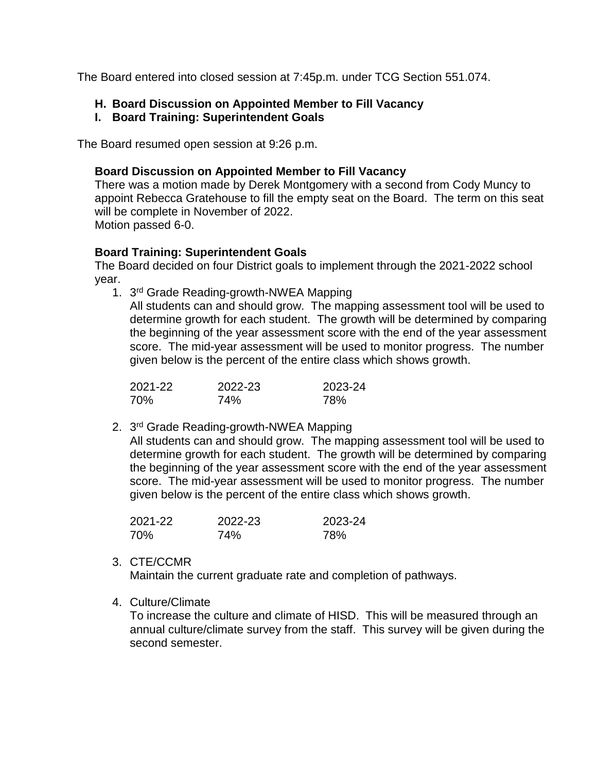The Board entered into closed session at 7:45p.m. under TCG Section 551.074.

# **H. Board Discussion on Appointed Member to Fill Vacancy**

# **I. Board Training: Superintendent Goals**

The Board resumed open session at 9:26 p.m.

## **Board Discussion on Appointed Member to Fill Vacancy**

There was a motion made by Derek Montgomery with a second from Cody Muncy to appoint Rebecca Gratehouse to fill the empty seat on the Board. The term on this seat will be complete in November of 2022. Motion passed 6-0.

# **Board Training: Superintendent Goals**

The Board decided on four District goals to implement through the 2021-2022 school year.

1. 3<sup>rd</sup> Grade Reading-growth-NWEA Mapping

All students can and should grow. The mapping assessment tool will be used to determine growth for each student. The growth will be determined by comparing the beginning of the year assessment score with the end of the year assessment score. The mid-year assessment will be used to monitor progress. The number given below is the percent of the entire class which shows growth.

| 2021-22 | 2022-23 | 2023-24 |
|---------|---------|---------|
| 70%     | 74%     | 78%     |

2. 3<sup>rd</sup> Grade Reading-growth-NWEA Mapping

All students can and should grow. The mapping assessment tool will be used to determine growth for each student. The growth will be determined by comparing the beginning of the year assessment score with the end of the year assessment score. The mid-year assessment will be used to monitor progress. The number given below is the percent of the entire class which shows growth.

| 2021-22 | 2022-23 | 2023-24 |
|---------|---------|---------|
| 70%     | 74%     | 78%     |

## 3. CTE/CCMR

Maintain the current graduate rate and completion of pathways.

4. Culture/Climate

To increase the culture and climate of HISD. This will be measured through an annual culture/climate survey from the staff. This survey will be given during the second semester.